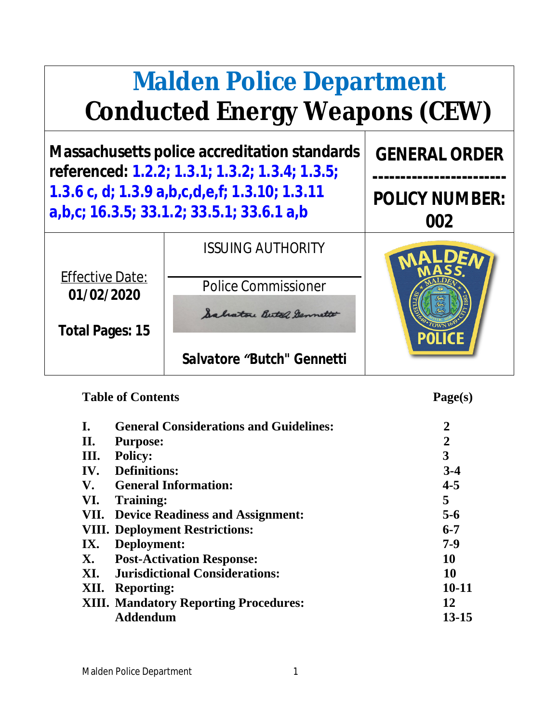# **Malden Police Department Conducted Energy Weapons (CEW)**

**Massachusetts police accreditation standards referenced: 1.2.2; 1.3.1; 1.3.2; 1.3.4; 1.3.5; 1.3.6 c, d; 1.3.9 a,b,c,d,e,f; 1.3.10; 1.3.11 a,b,c; 16.3.5; 33.1.2; 33.5.1; 33.6.1 a,b**

*ISSUING AUTHORITY*

Effective Date: **01/02/2020**

Police Commissioner

Salvatore Betch Germette **Total Pages: 15**

*Salvatore "Butch" Gennetti*

#### Table of Contents Page(s)

**GENERAL ORDER**

**------------------------**

**POLICY NUMBER:**

**002**

| $\mathbf{I}$ . | <b>General Considerations and Guidelines:</b> | $\overline{2}$ |
|----------------|-----------------------------------------------|----------------|
| II.            | <b>Purpose:</b>                               | $\overline{2}$ |
| III.           | <b>Policy:</b>                                | 3              |
|                | <b>IV.</b> Definitions:                       | $3 - 4$        |
| V.             | <b>General Information:</b>                   | $4 - 5$        |
| VI.            | Training:                                     | 5              |
|                | VII. Device Readiness and Assignment:         | $5-6$          |
|                | <b>VIII. Deployment Restrictions:</b>         | $6 - 7$        |
| IX.            | Deployment:                                   | $7-9$          |
| <b>X.</b>      | <b>Post-Activation Response:</b>              | 10             |
|                | <b>XI.</b> Jurisdictional Considerations:     | 10             |
| XII.           | <b>Reporting:</b>                             | $10 - 11$      |
|                | <b>XIII. Mandatory Reporting Procedures:</b>  | 12             |
|                | <b>Addendum</b>                               | 13-15          |
|                |                                               |                |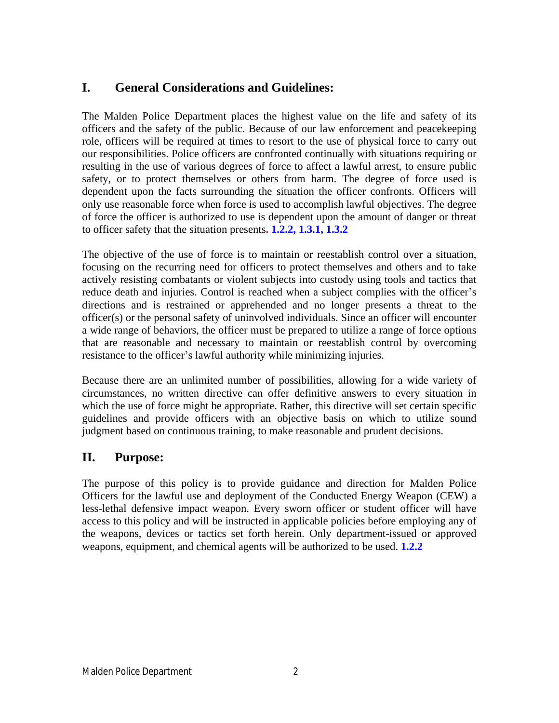#### **I. General Considerations and Guidelines:**

The Malden Police Department places the highest value on the life and safety of its officers and the safety of the public. Because of our law enforcement and peacekeeping role, officers will be required at times to resort to the use of physical force to carry out our responsibilities. Police officers are confronted continually with situations requiring or resulting in the use of various degrees of force to affect a lawful arrest, to ensure public safety, or to protect themselves or others from harm. The degree of force used is dependent upon the facts surrounding the situation the officer confronts. Officers will only use reasonable force when force is used to accomplish lawful objectives. The degree of force the officer is authorized to use is dependent upon the amount of danger or threat to officer safety that the situation presents**. 1.2.2, 1.3.1, 1.3.2**

The objective of the use of force is to maintain or reestablish control over a situation, focusing on the recurring need for officers to protect themselves and others and to take actively resisting combatants or violent subjects into custody using tools and tactics that reduce death and injuries. Control is reached when a subject complies with the officer's directions and is restrained or apprehended and no longer presents a threat to the officer(s) or the personal safety of uninvolved individuals. Since an officer will encounter a wide range of behaviors, the officer must be prepared to utilize a range of force options that are reasonable and necessary to maintain or reestablish control by overcoming resistance to the officer's lawful authority while minimizing injuries.

Because there are an unlimited number of possibilities, allowing for a wide variety of circumstances, no written directive can offer definitive answers to every situation in which the use of force might be appropriate. Rather, this directive will set certain specific guidelines and provide officers with an objective basis on which to utilize sound judgment based on continuous training, to make reasonable and prudent decisions.

#### **II. Purpose:**

The purpose of this policy is to provide guidance and direction for Malden Police Officers for the lawful use and deployment of the Conducted Energy Weapon (CEW) a less-lethal defensive impact weapon. Every sworn officer or student officer will have access to this policy and will be instructed in applicable policies before employing any of the weapons, devices or tactics set forth herein. Only department-issued or approved weapons, equipment, and chemical agents will be authorized to be used. **1.2.2**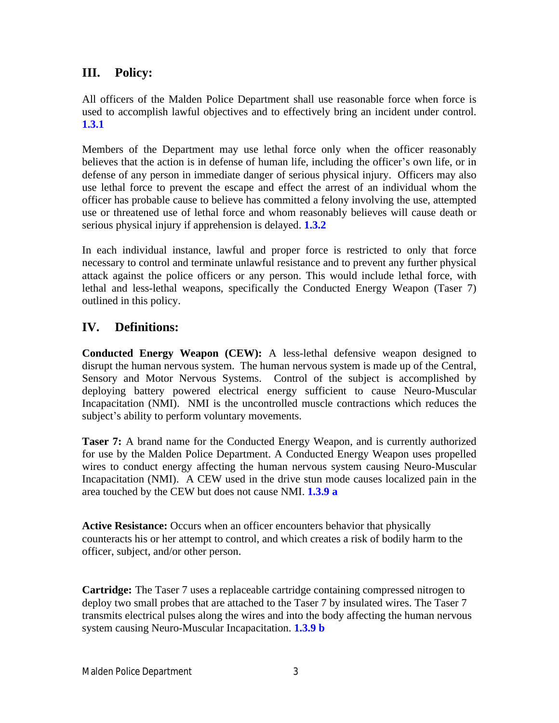#### **III. Policy:**

All officers of the Malden Police Department shall use reasonable force when force is used to accomplish lawful objectives and to effectively bring an incident under control. **1.3.1**

Members of the Department may use lethal force only when the officer reasonably believes that the action is in defense of human life, including the officer's own life, or in defense of any person in immediate danger of serious physical injury. Officers may also use lethal force to prevent the escape and effect the arrest of an individual whom the officer has probable cause to believe has committed a felony involving the use, attempted use or threatened use of lethal force and whom reasonably believes will cause death or serious physical injury if apprehension is delayed. **1.3.2**

In each individual instance, lawful and proper force is restricted to only that force necessary to control and terminate unlawful resistance and to prevent any further physical attack against the police officers or any person. This would include lethal force, with lethal and less-lethal weapons, specifically the Conducted Energy Weapon (Taser 7) outlined in this policy.

#### **IV. Definitions:**

**Conducted Energy Weapon (CEW):** A less-lethal defensive weapon designed to disrupt the human nervous system. The human nervous system is made up of the Central, Sensory and Motor Nervous Systems. Control of the subject is accomplished by deploying battery powered electrical energy sufficient to cause Neuro-Muscular Incapacitation (NMI). NMI is the uncontrolled muscle contractions which reduces the subject's ability to perform voluntary movements.

**Taser 7:** A brand name for the Conducted Energy Weapon, and is currently authorized for use by the Malden Police Department. A Conducted Energy Weapon uses propelled wires to conduct energy affecting the human nervous system causing Neuro-Muscular Incapacitation (NMI). A CEW used in the drive stun mode causes localized pain in the area touched by the CEW but does not cause NMI. **1.3.9 a**

**Active Resistance:** Occurs when an officer encounters behavior that physically counteracts his or her attempt to control, and which creates a risk of bodily harm to the officer, subject, and/or other person.

**Cartridge:** The Taser 7 uses a replaceable cartridge containing compressed nitrogen to deploy two small probes that are attached to the Taser 7 by insulated wires. The Taser 7 transmits electrical pulses along the wires and into the body affecting the human nervous system causing Neuro-Muscular Incapacitation. **1.3.9 b**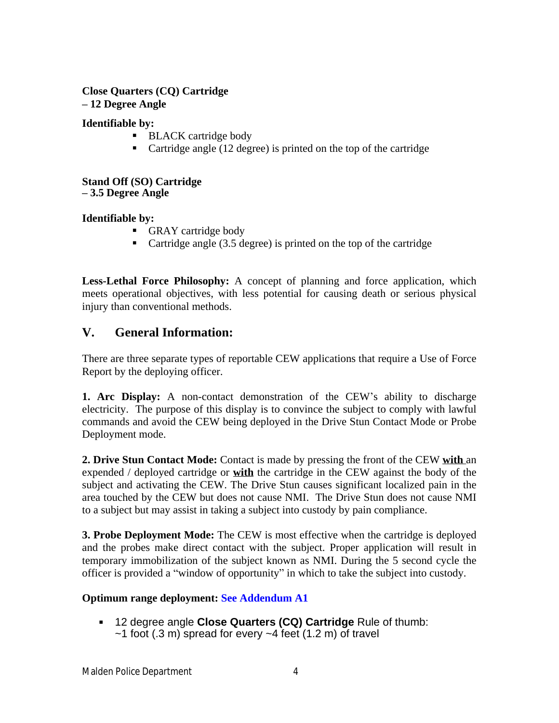#### **Close Quarters (CQ) Cartridge**

**– 12 Degree Angle**

#### **Identifiable by:**

- **BLACK** cartridge body
- Cartridge angle (12 degree) is printed on the top of the cartridge

#### **Stand Off (SO) Cartridge – 3.5 Degree Angle**

#### **Identifiable by:**

- GRAY cartridge body
- Cartridge angle (3.5 degree) is printed on the top of the cartridge

**Less-Lethal Force Philosophy:** A concept of planning and force application, which meets operational objectives, with less potential for causing death or serious physical injury than conventional methods.

#### **V. General Information:**

There are three separate types of reportable CEW applications that require a Use of Force Report by the deploying officer.

**1. Arc Display:** A non-contact demonstration of the CEW's ability to discharge electricity. The purpose of this display is to convince the subject to comply with lawful commands and avoid the CEW being deployed in the Drive Stun Contact Mode or Probe Deployment mode.

**2. Drive Stun Contact Mode:** Contact is made by pressing the front of the CEW **with** an expended / deployed cartridge or **with** the cartridge in the CEW against the body of the subject and activating the CEW. The Drive Stun causes significant localized pain in the area touched by the CEW but does not cause NMI. The Drive Stun does not cause NMI to a subject but may assist in taking a subject into custody by pain compliance.

**3. Probe Deployment Mode:** The CEW is most effective when the cartridge is deployed and the probes make direct contact with the subject. Proper application will result in temporary immobilization of the subject known as NMI. During the 5 second cycle the officer is provided a "window of opportunity" in which to take the subject into custody.

#### **Optimum range deployment: See Addendum A1**

 12 degree angle **Close Quarters (CQ) Cartridge** Rule of thumb:  $\sim$ 1 foot (.3 m) spread for every  $\sim$ 4 feet (1.2 m) of travel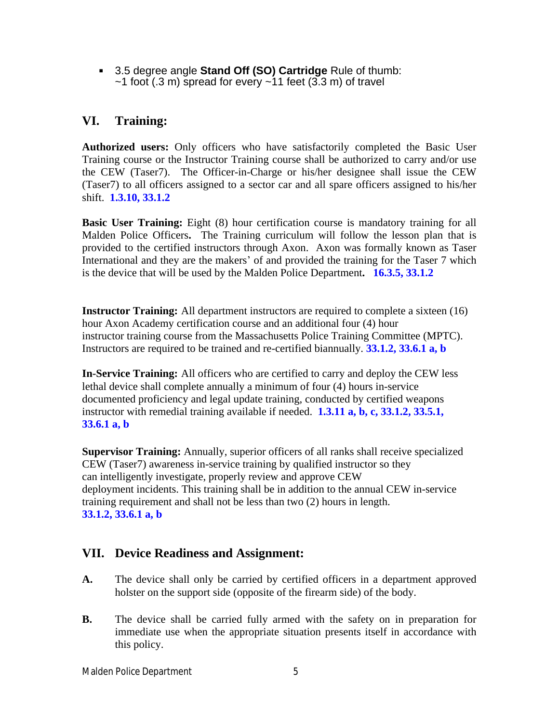3.5 degree angle **Stand Off (SO) Cartridge** Rule of thumb:  $\sim$ 1 foot (.3 m) spread for every  $\sim$ 11 feet (3.3 m) of travel

#### **VI. Training:**

**Authorized users:** Only officers who have satisfactorily completed the Basic User Training course or the Instructor Training course shall be authorized to carry and/or use the CEW (Taser7). The Officer-in-Charge or his/her designee shall issue the CEW (Taser7) to all officers assigned to a sector car and all spare officers assigned to his/her shift. **1.3.10, 33.1.2**

**Basic User Training:** Eight (8) hour certification course is mandatory training for all Malden Police Officers**.** The Training curriculum will follow the lesson plan that is provided to the certified instructors through Axon. Axon was formally known as Taser International and they are the makers' of and provided the training for the Taser 7 which is the device that will be used by the Malden Police Department**. 16.3.5, 33.1.2**

**Instructor Training:** All department instructors are required to complete a sixteen (16) hour Axon Academy certification course and an additional four (4) hour instructor training course from the Massachusetts Police Training Committee (MPTC). Instructors are required to be trained and re-certified biannually. **33.1.2, 33.6.1 a, b**

**In-Service Training:** All officers who are certified to carry and deploy the CEW less lethal device shall complete annually a minimum of four (4) hours in-service documented proficiency and legal update training, conducted by certified weapons instructor with remedial training available if needed. **1.3.11 a, b, c, 33.1.2, 33.5.1, 33.6.1 a, b**

**Supervisor Training:** Annually, superior officers of all ranks shall receive specialized CEW (Taser7) awareness in-service training by qualified instructor so they can intelligently investigate, properly review and approve CEW deployment incidents. This training shall be in addition to the annual CEW in-service training requirement and shall not be less than two (2) hours in length. **33.1.2, 33.6.1 a, b**

#### **VII. Device Readiness and Assignment:**

- **A.** The device shall only be carried by certified officers in a department approved holster on the support side (opposite of the firearm side) of the body.
- **B.** The device shall be carried fully armed with the safety on in preparation for immediate use when the appropriate situation presents itself in accordance with this policy.

Malden Police Department 5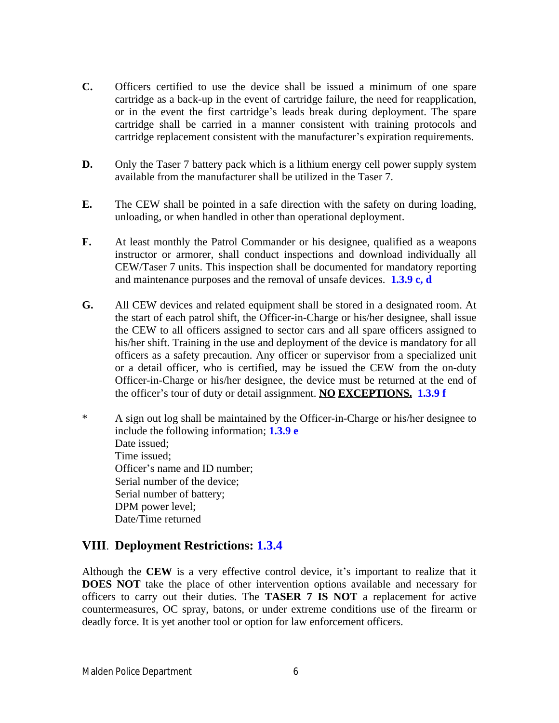- **C.** Officers certified to use the device shall be issued a minimum of one spare cartridge as a back-up in the event of cartridge failure, the need for reapplication, or in the event the first cartridge's leads break during deployment. The spare cartridge shall be carried in a manner consistent with training protocols and cartridge replacement consistent with the manufacturer's expiration requirements.
- **D.** Only the Taser 7 battery pack which is a lithium energy cell power supply system available from the manufacturer shall be utilized in the Taser 7.
- **E.** The CEW shall be pointed in a safe direction with the safety on during loading, unloading, or when handled in other than operational deployment.
- **F.** At least monthly the Patrol Commander or his designee, qualified as a weapons instructor or armorer, shall conduct inspections and download individually all CEW/Taser 7 units. This inspection shall be documented for mandatory reporting and maintenance purposes and the removal of unsafe devices. **1.3.9 c, d**
- **G.** All CEW devices and related equipment shall be stored in a designated room. At the start of each patrol shift, the Officer-in-Charge or his/her designee, shall issue the CEW to all officers assigned to sector cars and all spare officers assigned to his/her shift. Training in the use and deployment of the device is mandatory for all officers as a safety precaution. Any officer or supervisor from a specialized unit or a detail officer, who is certified, may be issued the CEW from the on-duty Officer-in-Charge or his/her designee, the device must be returned at the end of the officer's tour of duty or detail assignment. **NO EXCEPTIONS. 1.3.9 f**
- \* A sign out log shall be maintained by the Officer-in-Charge or his/her designee to include the following information; **1.3.9 e** Date issued: Time issued; Officer's name and ID number; Serial number of the device; Serial number of battery; DPM power level; Date/Time returned

#### **VIII**. **Deployment Restrictions: 1.3.4**

Although the **CEW** is a very effective control device, it's important to realize that it **DOES NOT** take the place of other intervention options available and necessary for officers to carry out their duties. The **TASER 7 IS NOT** a replacement for active countermeasures, OC spray, batons, or under extreme conditions use of the firearm or deadly force. It is yet another tool or option for law enforcement officers.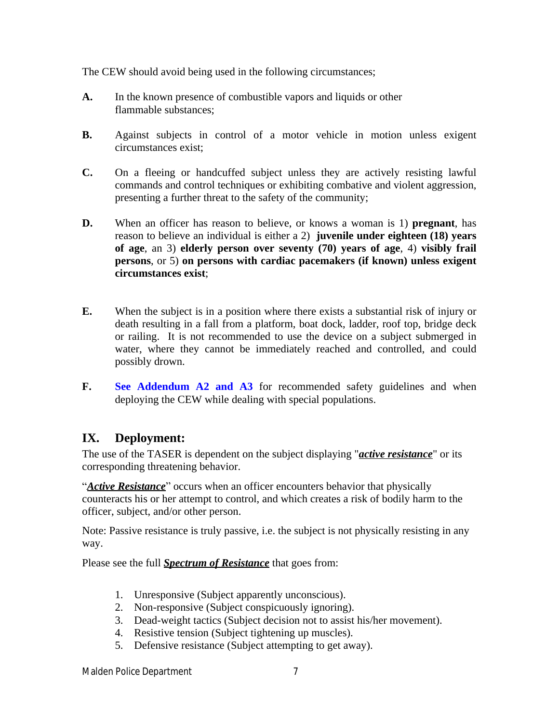The CEW should avoid being used in the following circumstances;

- **A.** In the known presence of combustible vapors and liquids or other flammable substances;
- **B.** Against subjects in control of a motor vehicle in motion unless exigent circumstances exist;
- **C.** On a fleeing or handcuffed subject unless they are actively resisting lawful commands and control techniques or exhibiting combative and violent aggression, presenting a further threat to the safety of the community;
- **D.** When an officer has reason to believe, or knows a woman is 1) **pregnant**, has reason to believe an individual is either a 2) **juvenile under eighteen (18) years of age**, an 3) **elderly person over seventy (70) years of age**, 4) **visibly frail persons**, or 5) **on persons with cardiac pacemakers (if known) unless exigent circumstances exist**;
- **E.** When the subject is in a position where there exists a substantial risk of injury or death resulting in a fall from a platform, boat dock, ladder, roof top, bridge deck or railing. It is not recommended to use the device on a subject submerged in water, where they cannot be immediately reached and controlled, and could possibly drown.
- **F. See Addendum A2 and A3** for recommended safety guidelines and when deploying the CEW while dealing with special populations.

#### **IX. Deployment:**

The use of the TASER is dependent on the subject displaying "*active resistance*" or its corresponding threatening behavior.

"*Active Resistance*" occurs when an officer encounters behavior that physically counteracts his or her attempt to control, and which creates a risk of bodily harm to the officer, subject, and/or other person.

Note: Passive resistance is truly passive, i.e. the subject is not physically resisting in any way.

Please see the full *Spectrum of Resistance* that goes from:

- 1. Unresponsive (Subject apparently unconscious).
- 2. Non-responsive (Subject conspicuously ignoring).
- 3. Dead-weight tactics (Subject decision not to assist his/her movement).
- 4. Resistive tension (Subject tightening up muscles).
- 5. Defensive resistance (Subject attempting to get away).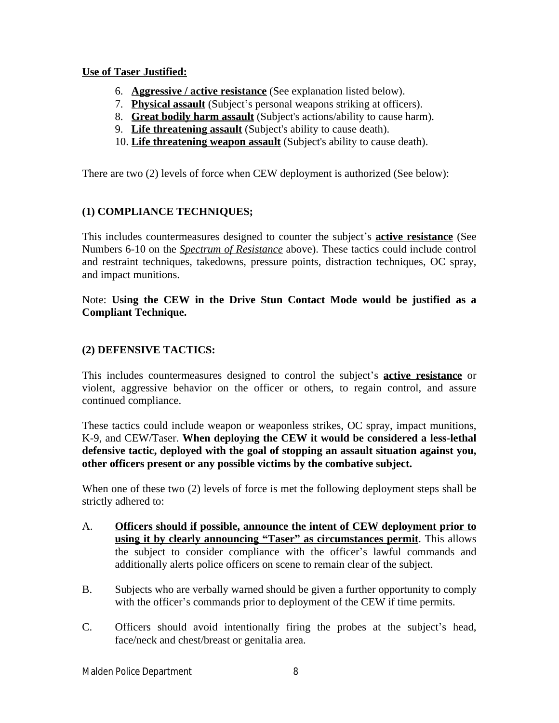#### **Use of Taser Justified:**

- 6. **Aggressive / active resistance** (See explanation listed below).
- 7. **Physical assault** (Subject's personal weapons striking at officers).
- 8. **Great bodily harm assault** (Subject's actions/ability to cause harm).
- 9. **Life threatening assault** (Subject's ability to cause death).
- 10. **Life threatening weapon assault** (Subject's ability to cause death).

There are two (2) levels of force when CEW deployment is authorized (See below):

#### **(1) COMPLIANCE TECHNIQUES;**

This includes countermeasures designed to counter the subject's **active resistance** (See Numbers 6-10 on the *Spectrum of Resistance* above). These tactics could include control and restraint techniques, takedowns, pressure points, distraction techniques, OC spray, and impact munitions.

Note: **Using the CEW in the Drive Stun Contact Mode would be justified as a Compliant Technique.**

#### **(2) DEFENSIVE TACTICS:**

This includes countermeasures designed to control the subject's **active resistance** or violent, aggressive behavior on the officer or others, to regain control, and assure continued compliance.

These tactics could include weapon or weaponless strikes, OC spray, impact munitions, K-9, and CEW/Taser. **When deploying the CEW it would be considered a less-lethal defensive tactic, deployed with the goal of stopping an assault situation against you, other officers present or any possible victims by the combative subject.** 

When one of these two (2) levels of force is met the following deployment steps shall be strictly adhered to:

- A. **Officers should if possible, announce the intent of CEW deployment prior to using it by clearly announcing "Taser" as circumstances permit**. This allows the subject to consider compliance with the officer's lawful commands and additionally alerts police officers on scene to remain clear of the subject.
- B. Subjects who are verbally warned should be given a further opportunity to comply with the officer's commands prior to deployment of the CEW if time permits.
- C. Officers should avoid intentionally firing the probes at the subject's head, face/neck and chest/breast or genitalia area.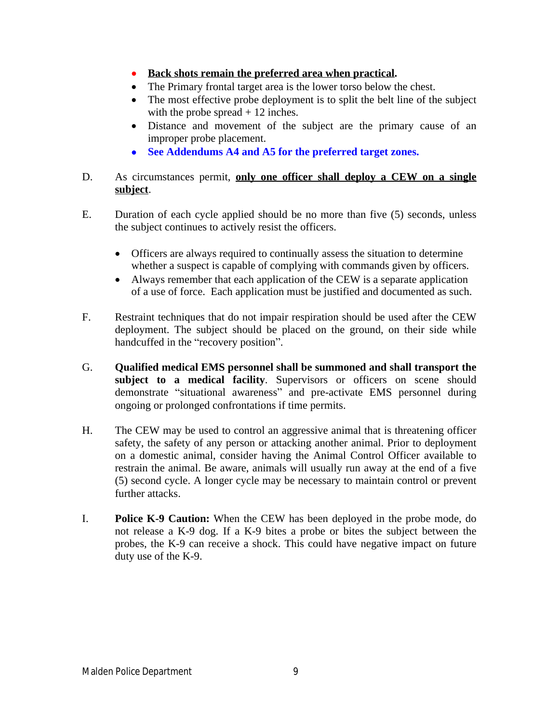- **Back shots remain the preferred area when practical.**
- The Primary frontal target area is the lower torso below the chest.
- The most effective probe deployment is to split the belt line of the subject with the probe spread  $+12$  inches.
- Distance and movement of the subject are the primary cause of an improper probe placement.
- **See Addendums A4 and A5 for the preferred target zones.**

#### D. As circumstances permit, **only one officer shall deploy a CEW on a single subject**.

- E. Duration of each cycle applied should be no more than five (5) seconds, unless the subject continues to actively resist the officers.
	- Officers are always required to continually assess the situation to determine whether a suspect is capable of complying with commands given by officers.
	- Always remember that each application of the CEW is a separate application of a use of force. Each application must be justified and documented as such.
- F. Restraint techniques that do not impair respiration should be used after the CEW deployment. The subject should be placed on the ground, on their side while handcuffed in the "recovery position".
- G. **Qualified medical EMS personnel shall be summoned and shall transport the subject to a medical facility**. Supervisors or officers on scene should demonstrate "situational awareness" and pre-activate EMS personnel during ongoing or prolonged confrontations if time permits.
- H. The CEW may be used to control an aggressive animal that is threatening officer safety, the safety of any person or attacking another animal. Prior to deployment on a domestic animal, consider having the Animal Control Officer available to restrain the animal. Be aware, animals will usually run away at the end of a five (5) second cycle. A longer cycle may be necessary to maintain control or prevent further attacks.
- I. **Police K-9 Caution:** When the CEW has been deployed in the probe mode, do not release a K-9 dog. If a K-9 bites a probe or bites the subject between the probes, the K-9 can receive a shock. This could have negative impact on future duty use of the K-9.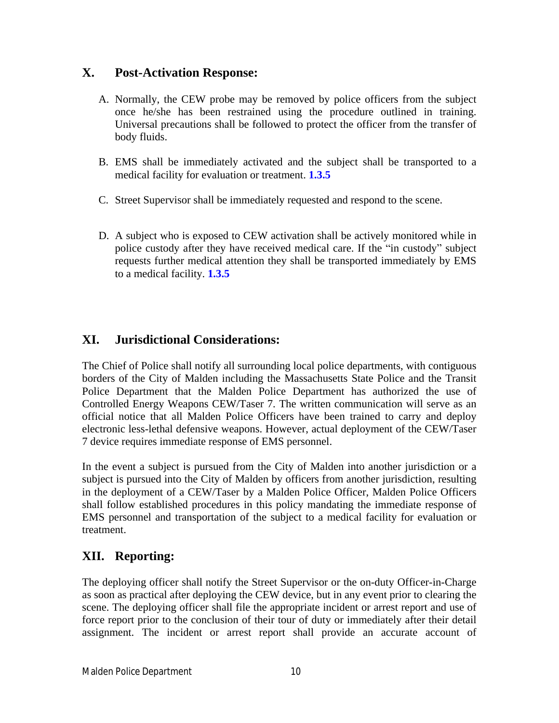#### **X. Post-Activation Response:**

- A. Normally, the CEW probe may be removed by police officers from the subject once he/she has been restrained using the procedure outlined in training. Universal precautions shall be followed to protect the officer from the transfer of body fluids.
- B. EMS shall be immediately activated and the subject shall be transported to a medical facility for evaluation or treatment. **1.3.5**
- C. Street Supervisor shall be immediately requested and respond to the scene.
- D. A subject who is exposed to CEW activation shall be actively monitored while in police custody after they have received medical care. If the "in custody" subject requests further medical attention they shall be transported immediately by EMS to a medical facility. **1.3.5**

#### **XI. Jurisdictional Considerations:**

The Chief of Police shall notify all surrounding local police departments, with contiguous borders of the City of Malden including the Massachusetts State Police and the Transit Police Department that the Malden Police Department has authorized the use of Controlled Energy Weapons CEW/Taser 7. The written communication will serve as an official notice that all Malden Police Officers have been trained to carry and deploy electronic less-lethal defensive weapons. However, actual deployment of the CEW/Taser 7 device requires immediate response of EMS personnel.

In the event a subject is pursued from the City of Malden into another jurisdiction or a subject is pursued into the City of Malden by officers from another jurisdiction, resulting in the deployment of a CEW/Taser by a Malden Police Officer, Malden Police Officers shall follow established procedures in this policy mandating the immediate response of EMS personnel and transportation of the subject to a medical facility for evaluation or treatment.

#### **XII. Reporting:**

The deploying officer shall notify the Street Supervisor or the on-duty Officer-in-Charge as soon as practical after deploying the CEW device, but in any event prior to clearing the scene. The deploying officer shall file the appropriate incident or arrest report and use of force report prior to the conclusion of their tour of duty or immediately after their detail assignment. The incident or arrest report shall provide an accurate account of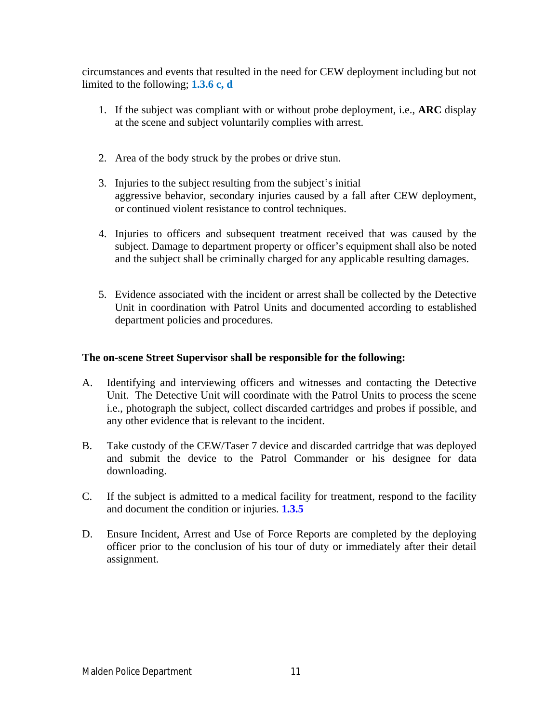circumstances and events that resulted in the need for CEW deployment including but not limited to the following; **1.3.6 c, d**

- 1. If the subject was compliant with or without probe deployment, i.e., **ARC** display at the scene and subject voluntarily complies with arrest.
- 2. Area of the body struck by the probes or drive stun.
- 3. Injuries to the subject resulting from the subject's initial aggressive behavior, secondary injuries caused by a fall after CEW deployment, or continued violent resistance to control techniques.
- 4. Injuries to officers and subsequent treatment received that was caused by the subject. Damage to department property or officer's equipment shall also be noted and the subject shall be criminally charged for any applicable resulting damages.
- 5. Evidence associated with the incident or arrest shall be collected by the Detective Unit in coordination with Patrol Units and documented according to established department policies and procedures.

#### **The on-scene Street Supervisor shall be responsible for the following:**

- A. Identifying and interviewing officers and witnesses and contacting the Detective Unit. The Detective Unit will coordinate with the Patrol Units to process the scene i.e., photograph the subject, collect discarded cartridges and probes if possible, and any other evidence that is relevant to the incident.
- B. Take custody of the CEW/Taser 7 device and discarded cartridge that was deployed and submit the device to the Patrol Commander or his designee for data downloading.
- C. If the subject is admitted to a medical facility for treatment, respond to the facility and document the condition or injuries. **1.3.5**
- D. Ensure Incident, Arrest and Use of Force Reports are completed by the deploying officer prior to the conclusion of his tour of duty or immediately after their detail assignment.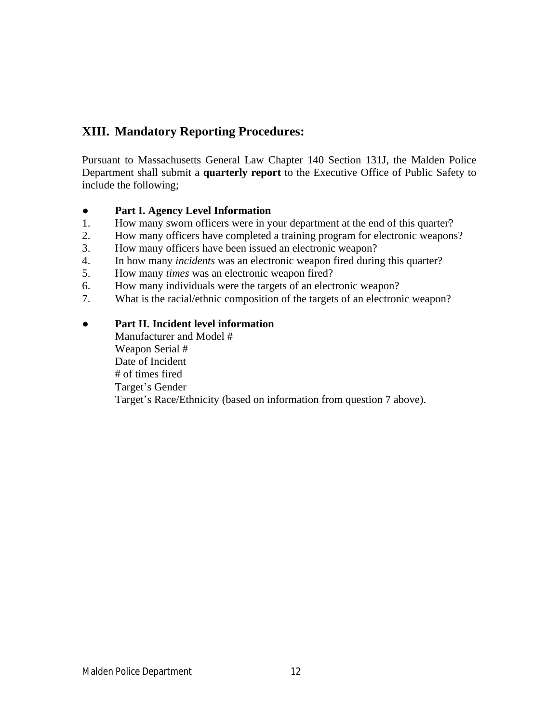#### **XIII. Mandatory Reporting Procedures:**

Pursuant to Massachusetts General Law Chapter 140 Section 131J, the Malden Police Department shall submit a **quarterly report** to the Executive Office of Public Safety to include the following;

#### ● **Part I. Agency Level Information**

- 1. How many sworn officers were in your department at the end of this quarter?
- 2. How many officers have completed a training program for electronic weapons?
- 3. How many officers have been issued an electronic weapon?
- 4. In how many *incidents* was an electronic weapon fired during this quarter?
- 5. How many *times* was an electronic weapon fired?
- 6. How many individuals were the targets of an electronic weapon?
- 7. What is the racial/ethnic composition of the targets of an electronic weapon?

#### ● **Part II. Incident level information**

Manufacturer and Model # Weapon Serial # Date of Incident # of times fired Target's Gender Target's Race/Ethnicity (based on information from question 7 above).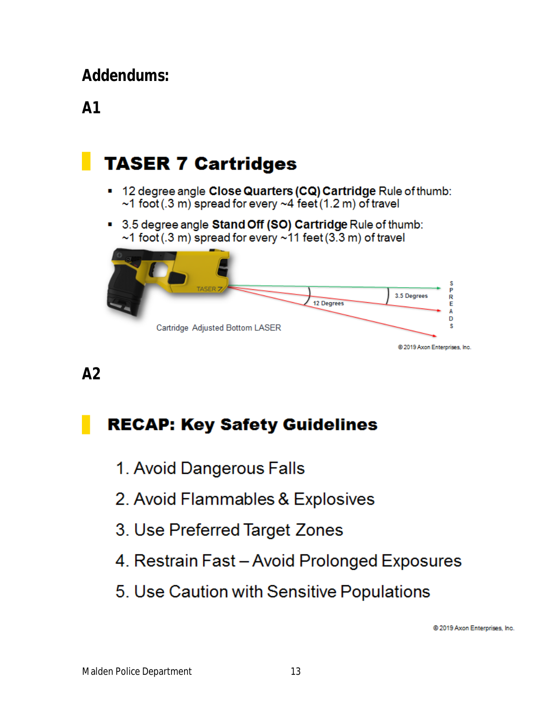# **Addendums:**

# **A1**

# **TASER 7 Cartridges**

- 12 degree angle Close Quarters (CQ) Cartridge Rule of thumb:  $\sim$ 1 foot (.3 m) spread for every  $\sim$ 4 feet (1.2 m) of travel
- 3.5 degree angle Stand Off (SO) Cartridge Rule of thumb:  $\sim$ 1 foot (.3 m) spread for every  $\sim$ 11 feet (3.3 m) of travel



### **A2**

# **RECAP: Key Safety Guidelines**

- 1. Avoid Dangerous Falls
- 2. Avoid Flammables & Explosives
- 3. Use Preferred Target Zones
- 4. Restrain Fast Avoid Prolonged Exposures
- 5. Use Caution with Sensitive Populations

@ 2019 Axon Enterprises, Inc.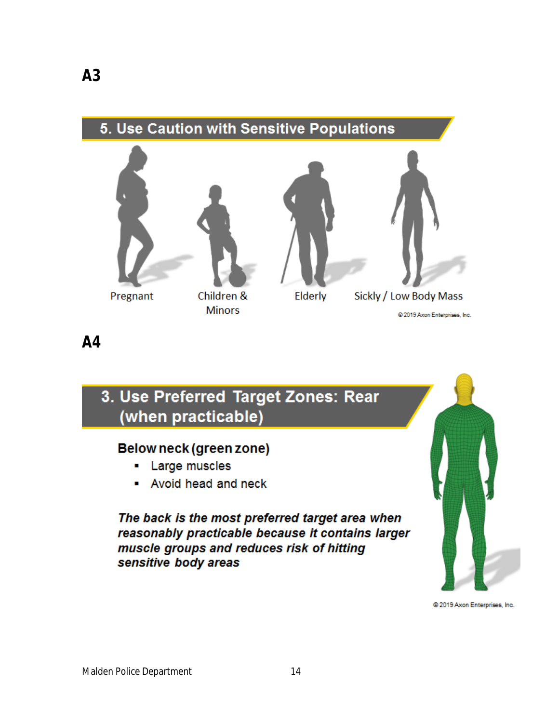

**A4**

## 3. Use Preferred Target Zones: Rear (when practicable)

#### Below neck (green zone)

- Large muscles ш.
- Avoid head and neck

The back is the most preferred target area when reasonably practicable because it contains larger muscle groups and reduces risk of hitting sensitive body areas

@ 2019 Axon Enterprises, Inc.